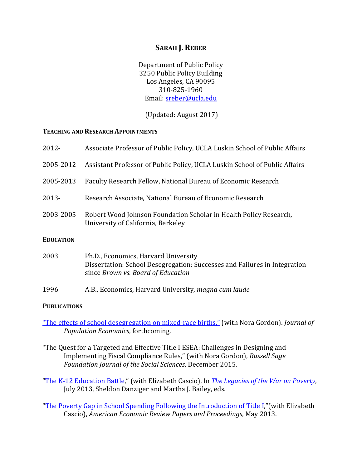# **SARAH J. REBER**

Department of Public Policy 3250 Public Policy Building Los Angeles, CA 90095 310-825-1960 Email: [sreber@ucla.edu](mailto:sreber@ucla.edu)

(Updated: August 2017)

### **TEACHING AND RESEARCH APPOINTMENTS**

| 2012-            | Associate Professor of Public Policy, UCLA Luskin School of Public Affairs                              |
|------------------|---------------------------------------------------------------------------------------------------------|
| 2005-2012        | Assistant Professor of Public Policy, UCLA Luskin School of Public Affairs                              |
| 2005-2013        | Faculty Research Fellow, National Bureau of Economic Research                                           |
| $2013 -$         | Research Associate, National Bureau of Economic Research                                                |
| 2003-2005        | Robert Wood Johnson Foundation Scholar in Health Policy Research,<br>University of California, Berkeley |
| <b>EDUCATION</b> |                                                                                                         |
| 2002             | <b>Dh D. Economics Harvard University</b>                                                               |

| Ph.D., Economics, Harvard University                                      |
|---------------------------------------------------------------------------|
| Dissertation: School Desegregation: Successes and Failures in Integration |
| since <i>Brown vs. Board of Education</i>                                 |
|                                                                           |

1996 A.B., Economics, Harvard University, *magna cum laude*

#### **PUBLICATIONS**

["The effects of school desegregation on mixed-race births,"](https://link.springer.com/article/10.1007/s00148-017-0662-z?wt_mc=Internal.Event.1.SEM.ArticleAuthorOnlineFirst) (with Nora Gordon). *Journal of Population Economics*, forthcoming.

- "The Quest for a Targeted and Effective Title I ESEA: Challenges in Designing and Implementing Fiscal Compliance Rules," (with Nora Gordon), *Russell Sage Foundation Journal of the Social Sciences*, December 2015.
- ["The K-12 Education Battle,](http://www.jstor.org/stable/10.7758/9781610448147)" (with Elizabeth Cascio), In *[The Legacies of the War on Poverty](http://www.russellsage.org/publications/legacies-war-poverty)*, July 2013, Sheldon Danziger and Martha J. Bailey, eds.

"The Poverty Gap in School Spending Following the Introduction of Title L" (with Elizabeth Cascio), *American Economic Review Papers and Proceedings*, May 2013.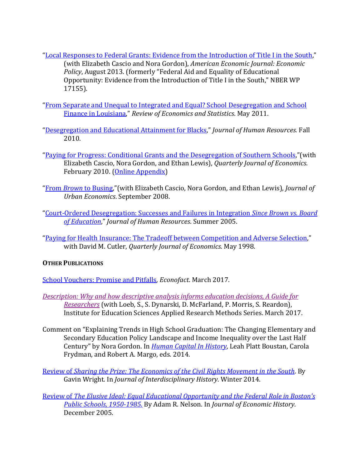- ["Local Responses to Federal Grants: Evidence from the Introduction of Title I in the South,](https://www.aeaweb.org/articles?id=10.1257/pol.5.3.126)" (with Elizabeth Cascio and Nora Gordon), *American Economic Journal: Economic Policy*, August 2013. (formerly "Federal Aid and Equality of Educational Opportunity: Evidence from the Introduction of Title I in the South," NBER WP 17155).
- ["From Separate and Unequal to Integrated and Equal? School Desegregation and School](http://sreber.bol.ucla.edu/papers/REStat-LA-Finance-Reber.pdf)  [Finance in Louisiana,](http://sreber.bol.ucla.edu/papers/REStat-LA-Finance-Reber.pdf)" *Review of Economics and Statistics*. May 2011.
- ["Desegregation and Educational Attainment for Blacks,](http://www.jstor.org/stable/25764793)" *Journal of Human Resources.* Fall 2010.
- ["Paying for Progress: Conditional Grants and the Desegregation of Southern Schools,](http://sreber.bol.ucla.edu/papers/QJE-P4P.pdf)"(with Elizabeth Cascio, Nora Gordon, and Ethan Lewis), *Quarterly Journal of Economics*. February 2010. [\(Online Appendix\)](http://sreber.bol.ucla.edu/papers/QJE-P4P-Online-Appendix.pdf)
- "From *Brown* [to Busing,](http://sreber.bol.ucla.edu/papers/JUE-B2B.pdf)"(with Elizabeth Cascio, Nora Gordon, and Ethan Lewis), *Journal of Urban Economics*. September 2008.
- ["Court-Ordered Desegregation: Successes and Failures in Integration](http://www.jstor.org/stable/4129552) *Since Brown vs. Board [of Education](http://www.jstor.org/stable/4129552)*," *Journal of Human Resources*. Summer 2005.
- ["Paying for Health Insurance: The Tradeoff between Competition and Adverse Selection,](http://www.jstor.org/stable/2586909)" with David M. Cutler, *Quarterly Journal of Economics*. May 1998.

# **OTHER PUBLICATIONS**

- [School Vouchers: Promise and Pitfalls,](http://econofact.org/school-vouchers-promise-and-pitfalls) *Econofact*. March 2017.
- *[Description: Why and how descriptive analysis informs education decisions, A Guide for](https://www.google.com/url?sa=t&rct=j&q=&esrc=s&source=web&cd=1&cad=rja&uact=8&ved=0ahUKEwjPhqmL-uvVAhWKsFQKHdRqB5UQFggmMAA&url=https%3A%2F%2Fies.ed.gov%2Fncee%2Fpubs%2F20174023%2Fpdf%2F20174023.pdf&usg=AFQjCNGBSBipk2hmzaBT5JEYeW-m3zNo7w)  [Researchers](https://www.google.com/url?sa=t&rct=j&q=&esrc=s&source=web&cd=1&cad=rja&uact=8&ved=0ahUKEwjPhqmL-uvVAhWKsFQKHdRqB5UQFggmMAA&url=https%3A%2F%2Fies.ed.gov%2Fncee%2Fpubs%2F20174023%2Fpdf%2F20174023.pdf&usg=AFQjCNGBSBipk2hmzaBT5JEYeW-m3zNo7w)* (with Loeb, S., S. Dynarski, D. McFarland, P. Morris, S. Reardon), Institute for Education Sciences Applied Research Methods Series. March 2017.
- Comment on "Explaining Trends in High School Graduation: The Changing Elementary and Secondary Education Policy Landscape and Income Inequality over the Last Half Century" by Nora Gordon. In *[Human Capital In History](http://press.uchicago.edu/ucp/books/book/chicago/H/bo18411047.html)*, Leah Platt Boustan, Carola Frydman, and Robert A. Margo, eds. 2014.

Review of *[Sharing the Prize: The Economics of the Civil Rights Movement in the South](http://sreber.bol.ucla.edu/papers/JIH-Wright-Review.pdf)*. By Gavin Wright. In *Journal of Interdisciplinary History*. Winter 2014.

Review of *[The Elusive Ideal: Equal Educational Opportunity and the Federal Role in Boston's](http://sreber.bol.ucla.edu/papers/Reber-JHE-BookReview.pdf)  [Public Schools, 1950-1985](http://sreber.bol.ucla.edu/papers/Reber-JHE-BookReview.pdf)*. By Adam R. Nelson. In *Journal of Economic History*. December 2005.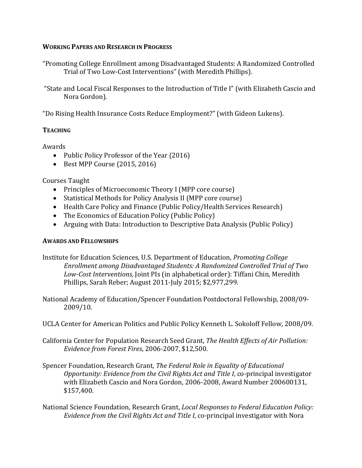### **WORKING PAPERS AND RESEARCH IN PROGRESS**

"Promoting College Enrollment among Disadvantaged Students: A Randomized Controlled Trial of Two Low-Cost Interventions" (with Meredith Phillips).

"State and Local Fiscal Responses to the Introduction of Title I" (with Elizabeth Cascio and Nora Gordon).

"Do Rising Health Insurance Costs Reduce Employment?" (with Gideon Lukens).

# **TEACHING**

Awards

- Public Policy Professor of the Year (2016)
- Best MPP Course (2015, 2016)

# Courses Taught

- Principles of Microeconomic Theory I (MPP core course)
- Statistical Methods for Policy Analysis II (MPP core course)
- Health Care Policy and Finance (Public Policy/Health Services Research)
- The Economics of Education Policy (Public Policy)
- Arguing with Data: Introduction to Descriptive Data Analysis (Public Policy)

# **AWARDS AND FELLOWSHIPS**

Institute for Education Sciences, U.S. Department of Education, *Promoting College Enrollment among Disadvantaged Students: A Randomized Controlled Trial of Two Low-Cost Interventions*, Joint PIs (in alphabetical order): Tiffani Chin, Meredith Phillips, Sarah Reber; August 2011-July 2015; \$2,977,299.

National Academy of Education/Spencer Foundation Postdoctoral Fellowship, 2008/09- 2009/10.

UCLA Center for American Politics and Public Policy Kenneth L. Sokoloff Fellow, 2008/09.

California Center for Population Research Seed Grant, *The Health Effects of Air Pollution: Evidence from Forest Fires*, 2006-2007, \$12,500.

Spencer Foundation, Research Grant, *The Federal Role in Equality of Educational Opportunity: Evidence from the Civil Rights Act and Title I*, co-principal investigator with Elizabeth Cascio and Nora Gordon, 2006-2008, Award Number 200600131, \$157,400.

National Science Foundation, Research Grant, *Local Responses to Federal Education Policy: Evidence from the Civil Rights Act and Title I*, co-principal investigator with Nora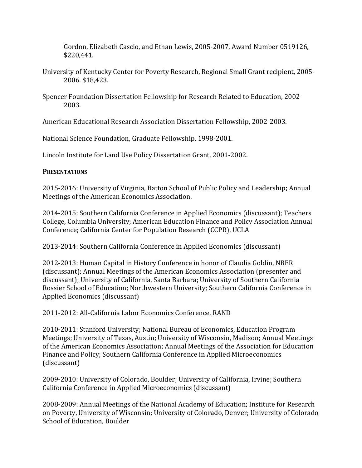Gordon, Elizabeth Cascio, and Ethan Lewis, 2005-2007, Award Number 0519126, \$220,441.

- University of Kentucky Center for Poverty Research, Regional Small Grant recipient, 2005- 2006. \$18,423.
- Spencer Foundation Dissertation Fellowship for Research Related to Education, 2002- 2003.

American Educational Research Association Dissertation Fellowship, 2002-2003.

National Science Foundation, Graduate Fellowship, 1998-2001.

Lincoln Institute for Land Use Policy Dissertation Grant, 2001-2002.

# **PRESENTATIONS**

2015-2016: University of Virginia, Batton School of Public Policy and Leadership; Annual Meetings of the American Economics Association.

2014-2015: Southern California Conference in Applied Economics (discussant); Teachers College, Columbia University; American Education Finance and Policy Association Annual Conference; California Center for Population Research (CCPR), UCLA

2013-2014: Southern California Conference in Applied Economics (discussant)

2012-2013: Human Capital in History Conference in honor of Claudia Goldin, NBER (discussant); Annual Meetings of the American Economics Association (presenter and discussant); University of California, Santa Barbara; University of Southern California Rossier School of Education; Northwestern University; Southern California Conference in Applied Economics (discussant)

2011-2012: All-California Labor Economics Conference, RAND

2010-2011: Stanford University; National Bureau of Economics, Education Program Meetings; University of Texas, Austin; University of Wisconsin, Madison; Annual Meetings of the American Economics Association; Annual Meetings of the Association for Education Finance and Policy; Southern California Conference in Applied Microeconomics (discussant)

2009-2010: University of Colorado, Boulder; University of California, Irvine; Southern California Conference in Applied Microeconomics (discussant)

2008-2009: Annual Meetings of the National Academy of Education; Institute for Research on Poverty, University of Wisconsin; University of Colorado, Denver; University of Colorado School of Education, Boulder